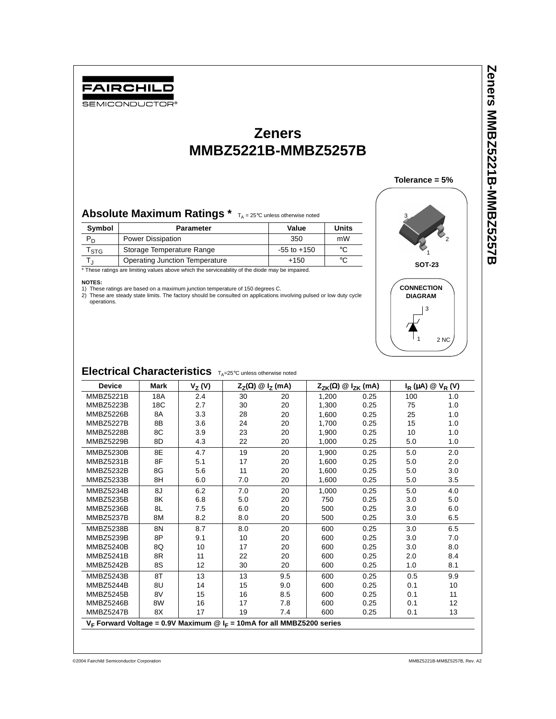# FAIRCHILD

SEMICONDUCTOR<sup>®</sup>

## **Zeners MMBZ5221B-MMBZ5257B**

### Absolute Maximum Ratings \*  $T_A = 25^\circ$ C unless otherwise noted

| Symbol                                         | <b>Parameter</b>          | Value           | <b>Units</b> |  |
|------------------------------------------------|---------------------------|-----------------|--------------|--|
| P <sub>D</sub>                                 | <b>Power Dissipation</b>  | 350             | mW           |  |
| $\mathsf{T}_{\textsf{STG}}$                    | Storage Temperature Range | $-55$ to $+150$ | °C           |  |
| °C<br>Operating Junction Temperature<br>$+150$ |                           |                 |              |  |

#### **NOTES:**

1) These ratings are based on a maximum junction temperature of 150 degrees C. 2) These are steady state limits. The factory should be consulted on applications involving pulsed or low duty cycle operations.



**Zeners MMBZ5221B-MMBZ5257B**

**Zeners MMBZ5221B-MMBZ5257B** 

## Electrical Characteristics  $T_{A}=25^{\circ}C$  unless otherwise noted

| <b>Device</b>                                                               | <b>Mark</b> | $V_Z(V)$ |     | $Z_Z(\Omega) \otimes I_Z$ (mA) | $Z_{ZK}(\Omega) \otimes I_{ZK}$ (mA) |      |     | $I_R(\mu A) \otimes V_R(V)$ |
|-----------------------------------------------------------------------------|-------------|----------|-----|--------------------------------|--------------------------------------|------|-----|-----------------------------|
| <b>MMBZ5221B</b>                                                            | 18A         | 2.4      | 30  | 20                             | 1,200                                | 0.25 | 100 | 1.0                         |
| MMBZ5223B                                                                   | 18C         | 2.7      | 30  | 20                             | 1,300                                | 0.25 | 75  | 1.0                         |
| MMBZ5226B                                                                   | 8A          | 3.3      | 28  | 20                             | 1,600                                | 0.25 | 25  | 1.0                         |
| MMBZ5227B                                                                   | 8B          | 3.6      | 24  | 20                             | 1,700                                | 0.25 | 15  | 1.0                         |
| MMBZ5228B                                                                   | 8C          | 3.9      | 23  | 20                             | 1,900                                | 0.25 | 10  | 1.0                         |
| MMBZ5229B                                                                   | 8D          | 4.3      | 22  | 20                             | 1,000                                | 0.25 | 5.0 | 1.0                         |
| MMBZ5230B                                                                   | 8E          | 4.7      | 19  | 20                             | 1,900                                | 0.25 | 5.0 | 2.0                         |
| <b>MMBZ5231B</b>                                                            | 8F          | 5.1      | 17  | 20                             | 1,600                                | 0.25 | 5.0 | 2.0                         |
| MMBZ5232B                                                                   | 8G          | 5.6      | 11  | 20                             | 1,600                                | 0.25 | 5.0 | 3.0                         |
| MMBZ5233B                                                                   | 8H          | 6.0      | 7.0 | 20                             | 1,600                                | 0.25 | 5.0 | 3.5                         |
| MMBZ5234B                                                                   | 8J          | 6.2      | 7.0 | 20                             | 1,000                                | 0.25 | 5.0 | 4.0                         |
| <b>MMBZ5235B</b>                                                            | 8K          | 6.8      | 5.0 | 20                             | 750                                  | 0.25 | 3.0 | 5.0                         |
| MMBZ5236B                                                                   | 8L          | 7.5      | 6.0 | 20                             | 500                                  | 0.25 | 3.0 | 6.0                         |
| MMBZ5237B                                                                   | 8M          | 8.2      | 8.0 | 20                             | 500                                  | 0.25 | 3.0 | 6.5                         |
| MMBZ5238B                                                                   | 8N          | 8.7      | 8.0 | 20                             | 600                                  | 0.25 | 3.0 | 6.5                         |
| <b>MMBZ5239B</b>                                                            | 8P          | 9.1      | 10  | 20                             | 600                                  | 0.25 | 3.0 | 7.0                         |
| MMBZ5240B                                                                   | 8Q          | 10       | 17  | 20                             | 600                                  | 0.25 | 3.0 | 8.0                         |
| MMBZ5241B                                                                   | 8R          | 11       | 22  | 20                             | 600                                  | 0.25 | 2.0 | 8.4                         |
| MMBZ5242B                                                                   | 8S          | 12       | 30  | 20                             | 600                                  | 0.25 | 1.0 | 8.1                         |
| <b>MMBZ5243B</b>                                                            | 8T          | 13       | 13  | 9.5                            | 600                                  | 0.25 | 0.5 | 9.9                         |
| MMBZ5244B                                                                   | 8U          | 14       | 15  | 9.0                            | 600                                  | 0.25 | 0.1 | 10                          |
| MMBZ5245B                                                                   | 8V          | 15       | 16  | 8.5                            | 600                                  | 0.25 | 0.1 | 11                          |
| <b>MMBZ5246B</b>                                                            | 8W          | 16       | 17  | 7.8                            | 600                                  | 0.25 | 0.1 | 12                          |
| MMBZ5247B                                                                   | 8X          | 17       | 19  | 7.4                            | 600                                  | 0.25 | 0.1 | 13                          |
| $V_F$ Forward Voltage = 0.9V Maximum @ $I_F$ = 10mA for all MMBZ5200 series |             |          |     |                                |                                      |      |     |                             |
|                                                                             |             |          |     |                                |                                      |      |     |                             |

©2004 Fairchild Semiconductor Corporation MMBZ5221B-MMBZ5257B, Rev. A2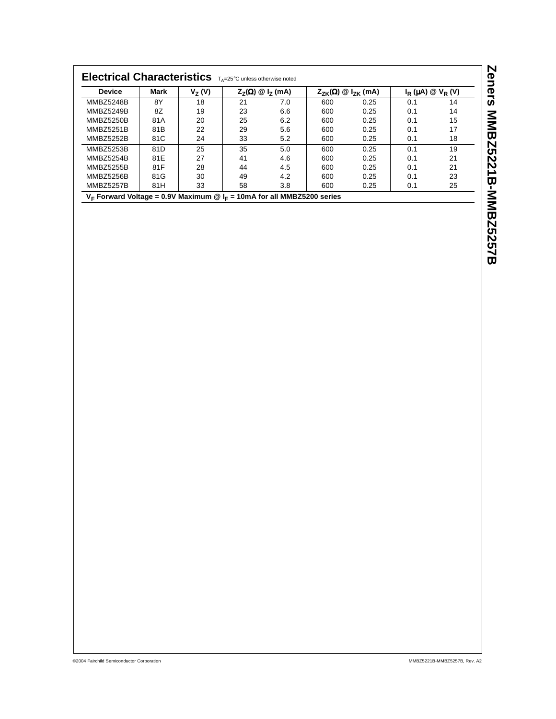| Electrical Characteristics TA=25°C unless otherwise noted                   |      |          |    |                                |     |                                      |                             |    |
|-----------------------------------------------------------------------------|------|----------|----|--------------------------------|-----|--------------------------------------|-----------------------------|----|
| <b>Device</b>                                                               | Mark | $V_Z(V)$ |    | $Z_7(\Omega) \otimes I_7$ (mA) |     | $Z_{ZK}(\Omega) \otimes I_{ZK}$ (mA) | $I_R(\mu A) \otimes V_R(V)$ |    |
| <b>MMBZ5248B</b>                                                            | 8Y   | 18       | 21 | 7.0                            | 600 | 0.25                                 | 0.1                         | 14 |
| <b>MMBZ5249B</b>                                                            | 8Z   | 19       | 23 | 6.6                            | 600 | 0.25                                 | 0.1                         | 14 |
| <b>MMBZ5250B</b>                                                            | 81A  | 20       | 25 | 6.2                            | 600 | 0.25                                 | 0.1                         | 15 |
| <b>MMBZ5251B</b>                                                            | 81B  | 22       | 29 | 5.6                            | 600 | 0.25                                 | 0.1                         | 17 |
| MMBZ5252B                                                                   | 81C  | 24       | 33 | 5.2                            | 600 | 0.25                                 | 0.1                         | 18 |
| <b>MMBZ5253B</b>                                                            | 81D  | 25       | 35 | 5.0                            | 600 | 0.25                                 | 0.1                         | 19 |
| MMBZ5254B                                                                   | 81E  | 27       | 41 | 4.6                            | 600 | 0.25                                 | 0.1                         | 21 |
| <b>MMBZ5255B</b>                                                            | 81F  | 28       | 44 | 4.5                            | 600 | 0.25                                 | 0.1                         | 21 |
| MMBZ5256B                                                                   | 81G  | 30       | 49 | 4.2                            | 600 | 0.25                                 | 0.1                         | 23 |
| MMBZ5257B                                                                   | 81H  | 33       | 58 | 3.8                            | 600 | 0.25                                 | 0.1                         | 25 |
| $V_F$ Forward Voltage = 0.9V Maximum @ $I_F$ = 10mA for all MMBZ5200 series |      |          |    |                                |     |                                      |                             |    |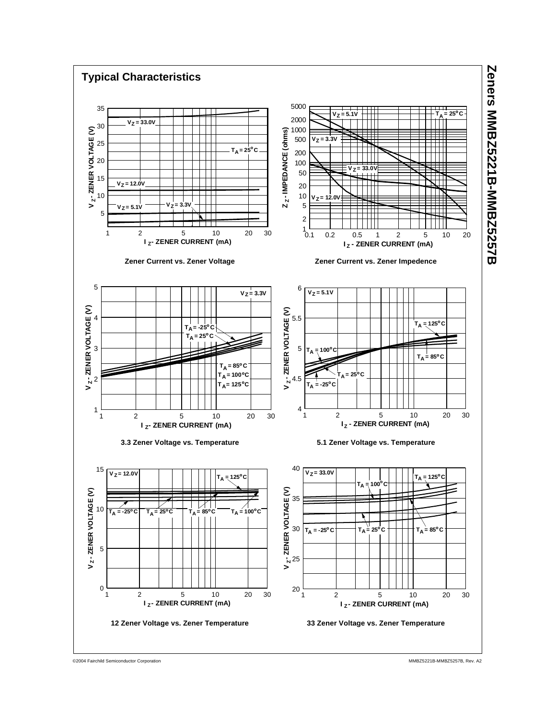